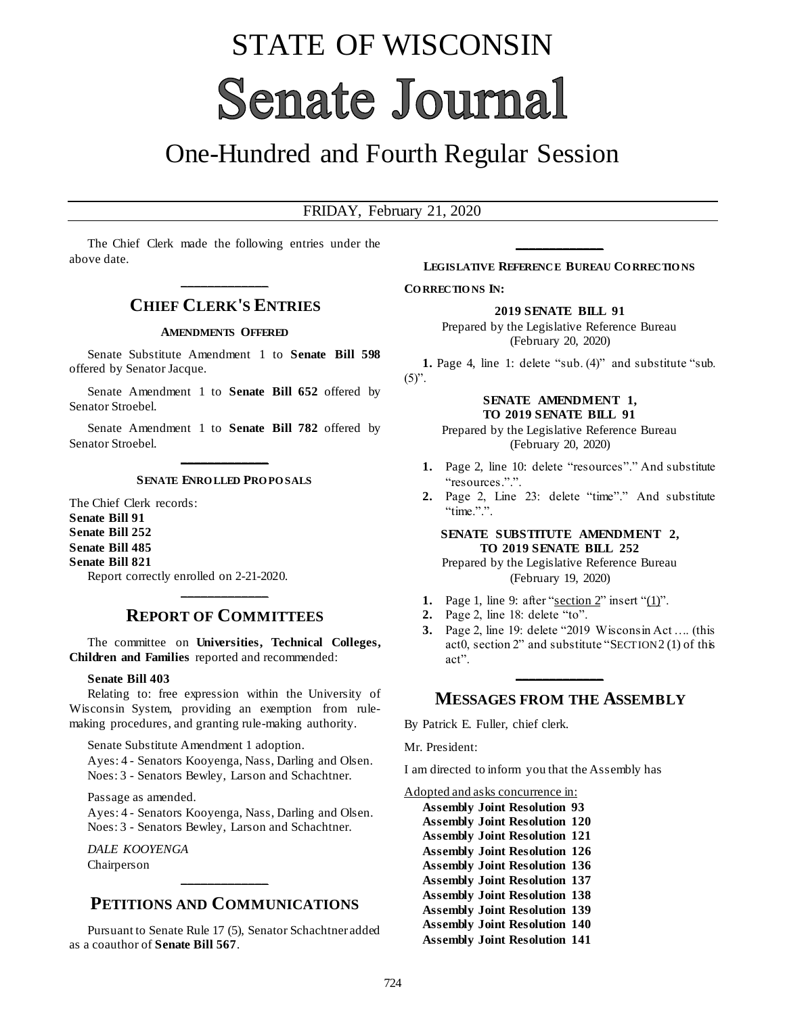# STATE OF WISCONSIN **Senate Journal**

## One-Hundred and Fourth Regular Session

#### FRIDAY, February 21, 2020

The Chief Clerk made the following entries under the above date.

## **\_\_\_\_\_\_\_\_\_\_\_\_\_ CHIEF CLERK'S ENTRIES**

#### **AMENDMENTS OFFERED**

Senate Substitute Amendment 1 to **Senate Bill 598** offered by Senator Jacque.

Senate Amendment 1 to **Senate Bill 652** offered by Senator Stroebel.

Senate Amendment 1 to **Senate Bill 782** offered by Senator Stroebel.

### **\_\_\_\_\_\_\_\_\_\_\_\_\_ SENATE ENRO LLED PRO PO SALS**

The Chief Clerk records: **Senate Bill 91 Senate Bill 252 Senate Bill 485 Senate Bill 821** Report correctly enrolled on 2-21-2020.

## **\_\_\_\_\_\_\_\_\_\_\_\_\_ REPORT OF COMMITTEES**

The committee on **Universities, Technical Colleges, Children and Families** reported and recommended:

#### **Senate Bill 403**

Relating to: free expression within the University of Wisconsin System, providing an exemption from rulemaking procedures, and granting rule-making authority.

Senate Substitute Amendment 1 adoption.

Ayes: 4 - Senators Kooyenga, Nass, Darling and Olsen. Noes: 3 - Senators Bewley, Larson and Schachtner.

Passage as amended.

Ayes: 4 - Senators Kooyenga, Nass, Darling and Olsen. Noes: 3 - Senators Bewley, Larson and Schachtner.

*DALE KOOYENGA* Chairperson

## **PETITIONS AND COMMUNICATIONS**

**\_\_\_\_\_\_\_\_\_\_\_\_\_**

Pursuant to Senate Rule 17 (5), Senator Schachtner added as a coauthor of **Senate Bill 567**.

## **\_\_\_\_\_\_\_\_\_\_\_\_\_ LEGISLATIVE REFERENCE BUREAU CO RRECTIO NS**

**CO RRECTIO NS IN:**

**2019 SENATE BILL 91**

Prepared by the Legislative Reference Bureau (February 20, 2020)

**1.** Page 4, line 1: delete "sub. (4)" and substitute "sub.  $(5)$ ".

#### **SENATE AMENDMENT 1, TO 2019 SENATE BILL 91**

Prepared by the Legislative Reference Bureau (February 20, 2020)

- **1.** Page 2, line 10: delete "resources"." And substitute "resources.".".
- **2.** Page 2, Line 23: delete "time"." And substitute "time.".".

#### **SENATE SUBSTITUTE AMENDMENT 2, TO 2019 SENATE BILL 252**

Prepared by the Legislative Reference Bureau (February 19, 2020)

- **1.** Page 1, line 9: after "section  $2$ " insert " $(1)$ ".
- **2.** Page 2, line 18: delete "to".
- **3.** Page 2, line 19: delete "2019 Wisconsin Act …. (this act0, section 2" and substitute "SECTION 2 (1) of this act".

## **\_\_\_\_\_\_\_\_\_\_\_\_\_ MESSAGES FROM THE ASSEMBLY**

By Patrick E. Fuller, chief clerk.

Mr. President:

I am directed to inform you that the Assembly has

Adopted and asks concurrence in:

**Assembly Joint Resolution 93 Assembly Joint Resolution 120 Assembly Joint Resolution 121 Assembly Joint Resolution 126 Assembly Joint Resolution 136 Assembly Joint Resolution 137 Assembly Joint Resolution 138 Assembly Joint Resolution 139 Assembly Joint Resolution 140 Assembly Joint Resolution 141**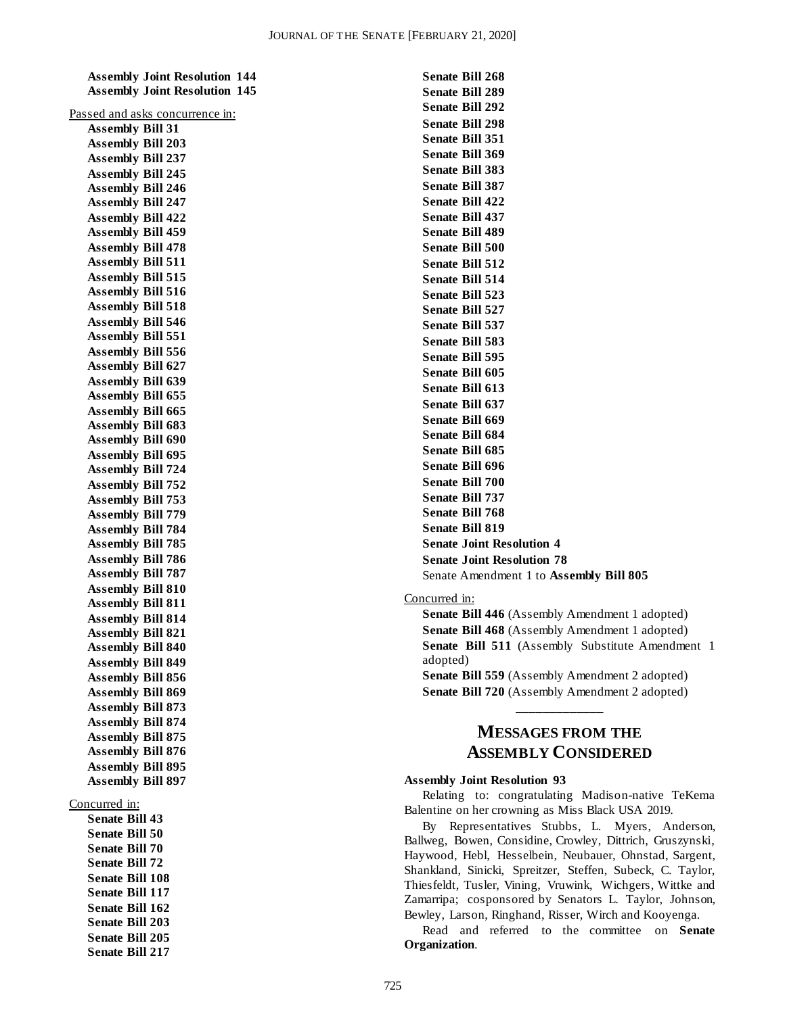**Assembly Joint Resolution 144 Assembly Joint Resolution 145**

| Аээснія у John Кезонноя<br>ш.<br><b>Assembly Joint Resolution</b> |
|-------------------------------------------------------------------|
|                                                                   |
| Passed and asks concurrence in:                                   |
| <b>Assembly Bill 31</b>                                           |
| <b>Assembly Bill 203</b><br><b>Assembly Bill 237</b>              |
| <b>Assembly Bill 245</b>                                          |
| <b>Assembly Bill 246</b>                                          |
| <b>Assembly Bill 247</b>                                          |
| <b>Assembly Bill 422</b>                                          |
| <b>Assembly Bill 459</b>                                          |
| <b>Assembly Bill 478</b>                                          |
| <b>Assembly Bill 511</b>                                          |
| <b>Assembly Bill 515</b>                                          |
| <b>Assembly Bill 516</b>                                          |
| <b>Assembly Bill 518</b>                                          |
| <b>Assembly Bill 546</b>                                          |
| <b>Assembly Bill 551</b>                                          |
| <b>Assembly Bill 556</b>                                          |
| <b>Assembly Bill 627</b>                                          |
| <b>Assembly Bill 639</b>                                          |
| <b>Assembly Bill 655</b>                                          |
| <b>Assembly Bill 665</b>                                          |
| <b>Assembly Bill 683</b>                                          |
| <b>Assembly Bill 690</b>                                          |
| <b>Assembly Bill 695</b>                                          |
| <b>Assembly Bill 724</b>                                          |
| <b>Assembly Bill 752</b>                                          |
| <b>Assembly Bill 753</b>                                          |
| <b>Assembly Bill 779</b>                                          |
| <b>Assembly Bill 784</b>                                          |
| <b>Assembly Bill 785</b>                                          |
| <b>Assembly Bill 786</b>                                          |
| <b>Assembly Bill 787</b>                                          |
| <b>Assembly Bill 810</b>                                          |
| <b>Assembly Bill 811</b>                                          |
| <b>Assembly Bill 814</b>                                          |
| <b>Assembly Bill 821</b>                                          |
| Assembly Bill 840                                                 |
| <b>Assembly Bill 849</b>                                          |
| <b>Assembly Bill 856</b>                                          |
| <b>Assembly Bill 869</b>                                          |
| <b>Assembly Bill 873</b>                                          |
| <b>Assembly Bill 874</b>                                          |
| <b>Assembly Bill 875</b>                                          |
| <b>Assembly Bill 876</b>                                          |
| <b>Assembly Bill 895</b>                                          |
| <b>Assembly Bill 897</b>                                          |
|                                                                   |
| Concurred in:                                                     |

**Senate Bill 43 Senate Bill 50 Senate Bill 70 Senate Bill 72 Senate Bill 108 Senate Bill 117 Senate Bill 162 Senate Bill 203 Senate Bill 205 Senate Bill 217**

**Senate Bill 268 Senate Bill 289 Senate Bill 292 Senate Bill 298 Senate Bill 351 Senate Bill 369 Senate Bill 383 Senate Bill 387 Senate Bill 422 Senate Bill 437 Senate Bill 489 Senate Bill 500 Senate Bill 512 Senate Bill 514 Senate Bill 523 Senate Bill 527 Senate Bill 537 Senate Bill 583 Senate Bill 595 Senate Bill 605 Senate Bill 613 Senate Bill 637 Senate Bill 669 Senate Bill 684 Senate Bill 685 Senate Bill 696 Senate Bill 700 Senate Bill 737 Senate Bill 768 Senate Bill 819 Senate Joint Resolution 4 Senate Joint Resolution 78** Senate Amendment 1 to **Assembly Bill 805**

Concurred in:

**Senate Bill 446** (Assembly Amendment 1 adopted) **Senate Bill 468** (Assembly Amendment 1 adopted) **Senate Bill 511** (Assembly Substitute Amendment 1 adopted) **Senate Bill 559** (Assembly Amendment 2 adopted)

## **MESSAGES FROM THE ASSEMBLY CONSIDERED**

**Senate Bill 720** (Assembly Amendment 2 adopted) **\_\_\_\_\_\_\_\_\_\_\_\_\_**

#### **Assembly Joint Resolution 93**

Relating to: congratulating Madison-native TeKema Balentine on her crowning as Miss Black USA 2019.

By Representatives Stubbs, L. Myers, Anderson, Ballweg, Bowen, Considine, Crowley, Dittrich, Gruszynski, Haywood, Hebl, Hesselbein, Neubauer, Ohnstad, Sargent, Shankland, Sinicki, Spreitzer, Steffen, Subeck, C. Taylor, Thiesfeldt, Tusler, Vining, Vruwink, Wichgers, Wittke and Zamarripa; cosponsored by Senators L. Taylor, Johnson, Bewley, Larson, Ringhand, Risser, Wirch and Kooyenga.

Read and referred to the committee on **Senate Organization**.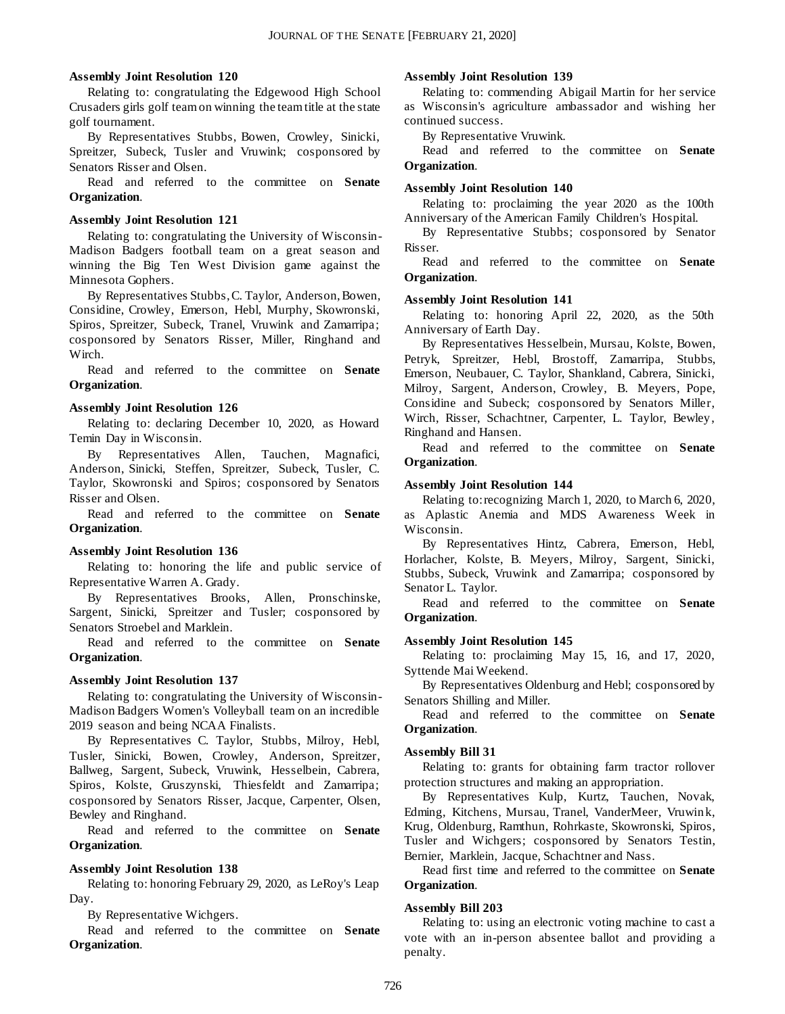#### **Assembly Joint Resolution 120**

Relating to: congratulating the Edgewood High School Crusaders girls golf team on winning the team title at the state golf tournament.

By Representatives Stubbs, Bowen, Crowley, Sinicki, Spreitzer, Subeck, Tusler and Vruwink; cosponsored by Senators Risser and Olsen.

Read and referred to the committee on **Senate Organization**.

#### **Assembly Joint Resolution 121**

Relating to: congratulating the University of Wisconsin-Madison Badgers football team on a great season and winning the Big Ten West Division game against the Minnesota Gophers.

By Representatives Stubbs, C. Taylor, Anderson, Bowen, Considine, Crowley, Emerson, Hebl, Murphy, Skowronski, Spiros, Spreitzer, Subeck, Tranel, Vruwink and Zamarripa; cosponsored by Senators Risser, Miller, Ringhand and Wirch.

Read and referred to the committee on **Senate Organization**.

#### **Assembly Joint Resolution 126**

Relating to: declaring December 10, 2020, as Howard Temin Day in Wisconsin.

By Representatives Allen, Tauchen, Magnafici, Anderson, Sinicki, Steffen, Spreitzer, Subeck, Tusler, C. Taylor, Skowronski and Spiros; cosponsored by Senators Risser and Olsen.

Read and referred to the committee on **Senate Organization**.

#### **Assembly Joint Resolution 136**

Relating to: honoring the life and public service of Representative Warren A. Grady.

By Representatives Brooks, Allen, Pronschinske, Sargent, Sinicki, Spreitzer and Tusler; cosponsored by Senators Stroebel and Marklein.

Read and referred to the committee on **Senate Organization**.

#### **Assembly Joint Resolution 137**

Relating to: congratulating the University of Wisconsin-Madison Badgers Women's Volleyball team on an incredible 2019 season and being NCAA Finalists.

By Representatives C. Taylor, Stubbs, Milroy, Hebl, Tusler, Sinicki, Bowen, Crowley, Anderson, Spreitzer, Ballweg, Sargent, Subeck, Vruwink, Hesselbein, Cabrera, Spiros, Kolste, Gruszynski, Thiesfeldt and Zamarripa; cosponsored by Senators Risser, Jacque, Carpenter, Olsen, Bewley and Ringhand.

Read and referred to the committee on **Senate Organization**.

#### **Assembly Joint Resolution 138**

Relating to: honoring February 29, 2020, as LeRoy's Leap Day.

By Representative Wichgers.

Read and referred to the committee on **Senate Organization**.

#### **Assembly Joint Resolution 139**

Relating to: commending Abigail Martin for her service as Wisconsin's agriculture ambassador and wishing her continued success.

By Representative Vruwink.

Read and referred to the committee on **Senate Organization**.

#### **Assembly Joint Resolution 140**

Relating to: proclaiming the year 2020 as the 100th Anniversary of the American Family Children's Hospital.

By Representative Stubbs; cosponsored by Senator Risser.

Read and referred to the committee on **Senate Organization**.

#### **Assembly Joint Resolution 141**

Relating to: honoring April 22, 2020, as the 50th Anniversary of Earth Day.

By Representatives Hesselbein, Mursau, Kolste, Bowen, Petryk, Spreitzer, Hebl, Brostoff, Zamarripa, Stubbs, Emerson, Neubauer, C. Taylor, Shankland, Cabrera, Sinicki, Milroy, Sargent, Anderson, Crowley, B. Meyers, Pope, Considine and Subeck; cosponsored by Senators Miller, Wirch, Risser, Schachtner, Carpenter, L. Taylor, Bewley, Ringhand and Hansen.

Read and referred to the committee on **Senate Organization**.

#### **Assembly Joint Resolution 144**

Relating to: recognizing March 1, 2020, to March 6, 2020, as Aplastic Anemia and MDS Awareness Week in Wisconsin.

By Representatives Hintz, Cabrera, Emerson, Hebl, Horlacher, Kolste, B. Meyers, Milroy, Sargent, Sinicki, Stubbs, Subeck, Vruwink and Zamarripa; cosponsored by Senator L. Taylor.

Read and referred to the committee on **Senate Organization**.

#### **Assembly Joint Resolution 145**

Relating to: proclaiming May 15, 16, and 17, 2020, Syttende Mai Weekend.

By Representatives Oldenburg and Hebl; cosponsored by Senators Shilling and Miller.

Read and referred to the committee on **Senate Organization**.

#### **Assembly Bill 31**

Relating to: grants for obtaining farm tractor rollover protection structures and making an appropriation.

By Representatives Kulp, Kurtz, Tauchen, Novak, Edming, Kitchens, Mursau, Tranel, VanderMeer, Vruwink, Krug, Oldenburg, Ramthun, Rohrkaste, Skowronski, Spiros, Tusler and Wichgers; cosponsored by Senators Testin, Bernier, Marklein, Jacque, Schachtner and Nass.

Read first time and referred to the committee on **Senate Organization**.

#### **Assembly Bill 203**

Relating to: using an electronic voting machine to cast a vote with an in-person absentee ballot and providing a penalty.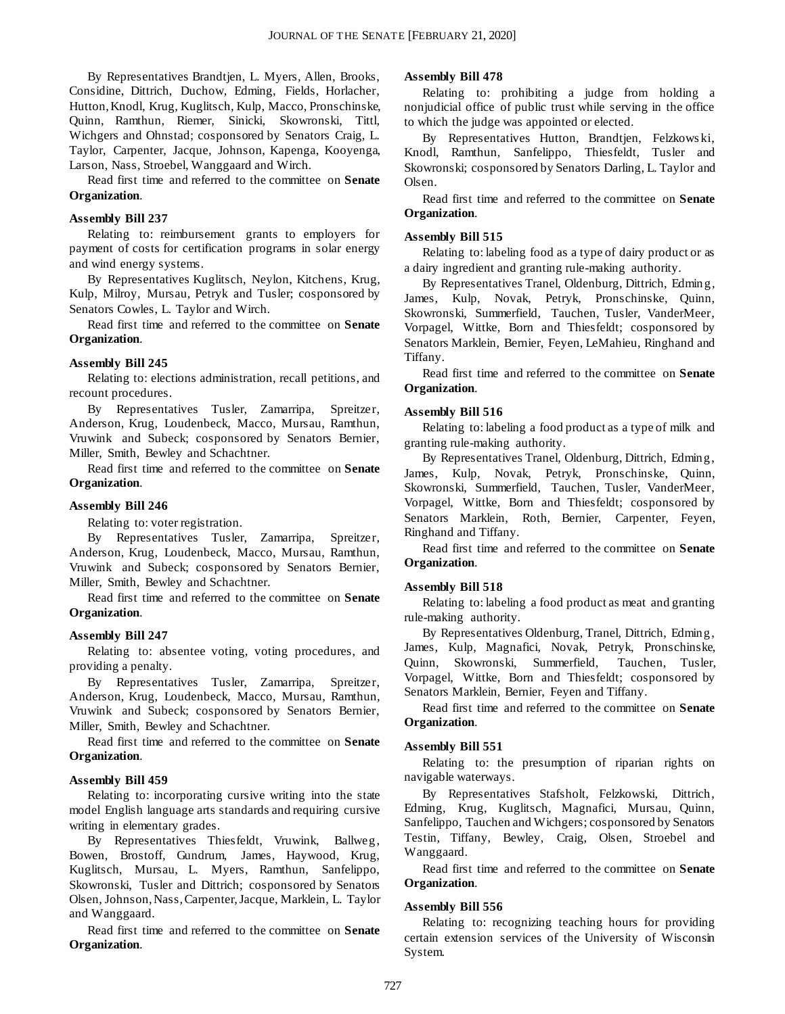By Representatives Brandtjen, L. Myers, Allen, Brooks, Considine, Dittrich, Duchow, Edming, Fields, Horlacher, Hutton, Knodl, Krug, Kuglitsch, Kulp, Macco, Pronschinske, Quinn, Ramthun, Riemer, Sinicki, Skowronski, Tittl, Wichgers and Ohnstad; cosponsored by Senators Craig, L. Taylor, Carpenter, Jacque, Johnson, Kapenga, Kooyenga, Larson, Nass, Stroebel, Wanggaard and Wirch.

Read first time and referred to the committee on **Senate Organization**.

#### **Assembly Bill 237**

Relating to: reimbursement grants to employers for payment of costs for certification programs in solar energy and wind energy systems.

By Representatives Kuglitsch, Neylon, Kitchens, Krug, Kulp, Milroy, Mursau, Petryk and Tusler; cosponsored by Senators Cowles, L. Taylor and Wirch.

Read first time and referred to the committee on **Senate Organization**.

#### **Assembly Bill 245**

Relating to: elections administration, recall petitions, and recount procedures.

By Representatives Tusler, Zamarripa, Spreitzer, Anderson, Krug, Loudenbeck, Macco, Mursau, Ramthun, Vruwink and Subeck; cosponsored by Senators Bernier, Miller, Smith, Bewley and Schachtner.

Read first time and referred to the committee on **Senate Organization**.

#### **Assembly Bill 246**

Relating to: voter registration.

By Representatives Tusler, Zamarripa, Spreitzer, Anderson, Krug, Loudenbeck, Macco, Mursau, Ramthun, Vruwink and Subeck; cosponsored by Senators Bernier, Miller, Smith, Bewley and Schachtner.

Read first time and referred to the committee on **Senate Organization**.

#### **Assembly Bill 247**

Relating to: absentee voting, voting procedures, and providing a penalty.

By Representatives Tusler, Zamarripa, Spreitzer, Anderson, Krug, Loudenbeck, Macco, Mursau, Ramthun, Vruwink and Subeck; cosponsored by Senators Bernier, Miller, Smith, Bewley and Schachtner.

Read first time and referred to the committee on **Senate Organization**.

#### **Assembly Bill 459**

Relating to: incorporating cursive writing into the state model English language arts standards and requiring cursive writing in elementary grades.

By Representatives Thiesfeldt, Vruwink, Ballweg, Bowen, Brostoff, Gundrum, James, Haywood, Krug, Kuglitsch, Mursau, L. Myers, Ramthun, Sanfelippo, Skowronski, Tusler and Dittrich; cosponsored by Senators Olsen, Johnson, Nass, Carpenter, Jacque, Marklein, L. Taylor and Wanggaard.

Read first time and referred to the committee on **Senate Organization**.

#### **Assembly Bill 478**

Relating to: prohibiting a judge from holding a nonjudicial office of public trust while serving in the office to which the judge was appointed or elected.

By Representatives Hutton, Brandtjen, Felzkows ki, Knodl, Ramthun, Sanfelippo, Thiesfeldt, Tusler and Skowronski; cosponsored by Senators Darling, L. Taylor and Olsen.

Read first time and referred to the committee on **Senate Organization**.

#### **Assembly Bill 515**

Relating to: labeling food as a type of dairy product or as a dairy ingredient and granting rule-making authority.

By Representatives Tranel, Oldenburg, Dittrich, Edming, James, Kulp, Novak, Petryk, Pronschinske, Quinn, Skowronski, Summerfield, Tauchen, Tusler, VanderMeer, Vorpagel, Wittke, Born and Thiesfeldt; cosponsored by Senators Marklein, Bernier, Feyen, LeMahieu, Ringhand and Tiffany.

Read first time and referred to the committee on **Senate Organization**.

#### **Assembly Bill 516**

Relating to: labeling a food product as a type of milk and granting rule-making authority.

By Representatives Tranel, Oldenburg, Dittrich, Edming, James, Kulp, Novak, Petryk, Pronschinske, Quinn, Skowronski, Summerfield, Tauchen, Tusler, VanderMeer, Vorpagel, Wittke, Born and Thiesfeldt; cosponsored by Senators Marklein, Roth, Bernier, Carpenter, Feyen, Ringhand and Tiffany.

Read first time and referred to the committee on **Senate Organization**.

#### **Assembly Bill 518**

Relating to: labeling a food product as meat and granting rule-making authority.

By Representatives Oldenburg, Tranel, Dittrich, Edming, James, Kulp, Magnafici, Novak, Petryk, Pronschinske, Quinn, Skowronski, Summerfield, Tauchen, Tusler, Vorpagel, Wittke, Born and Thiesfeldt; cosponsored by Senators Marklein, Bernier, Feyen and Tiffany.

Read first time and referred to the committee on **Senate Organization**.

#### **Assembly Bill 551**

Relating to: the presumption of riparian rights on navigable waterways.

By Representatives Stafsholt, Felzkowski, Dittrich, Edming, Krug, Kuglitsch, Magnafici, Mursau, Quinn, Sanfelippo, Tauchen and Wichgers; cosponsored by Senators Testin, Tiffany, Bewley, Craig, Olsen, Stroebel and Wanggaard.

Read first time and referred to the committee on **Senate Organization**.

#### **Assembly Bill 556**

Relating to: recognizing teaching hours for providing certain extension services of the University of Wisconsin System.